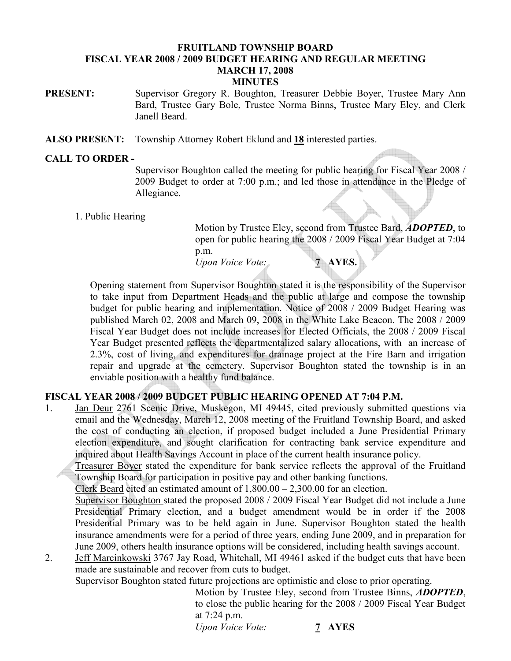### FRUITLAND TOWNSHIP BOARD FISCAL YEAR 2008 / 2009 BUDGET HEARING AND REGULAR MEETING MARCH 17, 2008 **MINUTES**

PRESENT: Supervisor Gregory R. Boughton, Treasurer Debbie Boyer, Trustee Mary Ann Bard, Trustee Gary Bole, Trustee Norma Binns, Trustee Mary Eley, and Clerk Janell Beard.

ALSO PRESENT: Township Attorney Robert Eklund and 18 interested parties.

## CALL TO ORDER -

Supervisor Boughton called the meeting for public hearing for Fiscal Year 2008 / 2009 Budget to order at 7:00 p.m.; and led those in attendance in the Pledge of Allegiance.

1. Public Hearing

Motion by Trustee Eley, second from Trustee Bard, **ADOPTED**, to open for public hearing the 2008 / 2009 Fiscal Year Budget at 7:04 p.m. Upon Voice Vote: 7 AYES.

Opening statement from Supervisor Boughton stated it is the responsibility of the Supervisor to take input from Department Heads and the public at large and compose the township budget for public hearing and implementation. Notice of 2008 / 2009 Budget Hearing was published March 02, 2008 and March 09, 2008 in the White Lake Beacon. The 2008 / 2009 Fiscal Year Budget does not include increases for Elected Officials, the 2008 / 2009 Fiscal Year Budget presented reflects the departmentalized salary allocations, with an increase of 2.3%, cost of living, and expenditures for drainage project at the Fire Barn and irrigation repair and upgrade at the cemetery. Supervisor Boughton stated the township is in an enviable position with a healthy fund balance.

## FISCAL YEAR 2008 / 2009 BUDGET PUBLIC HEARING OPENED AT 7:04 P.M.

1. Jan Deur 2761 Scenic Drive, Muskegon, MI 49445, cited previously submitted questions via email and the Wednesday, March 12, 2008 meeting of the Fruitland Township Board, and asked the cost of conducting an election, if proposed budget included a June Presidential Primary election expenditure, and sought clarification for contracting bank service expenditure and inquired about Health Savings Account in place of the current health insurance policy.

 Treasurer Boyer stated the expenditure for bank service reflects the approval of the Fruitland Township Board for participation in positive pay and other banking functions.

Clerk Beard cited an estimated amount of 1,800.00 – 2,300.00 for an election.

 Supervisor Boughton stated the proposed 2008 / 2009 Fiscal Year Budget did not include a June Presidential Primary election, and a budget amendment would be in order if the 2008 Presidential Primary was to be held again in June. Supervisor Boughton stated the health insurance amendments were for a period of three years, ending June 2009, and in preparation for June 2009, others health insurance options will be considered, including health savings account.

2. Jeff Marcinkowski 3767 Jay Road, Whitehall, MI 49461 asked if the budget cuts that have been made are sustainable and recover from cuts to budget.

Supervisor Boughton stated future projections are optimistic and close to prior operating.

Motion by Trustee Eley, second from Trustee Binns, ADOPTED, to close the public hearing for the 2008 / 2009 Fiscal Year Budget at 7:24 p.m.

Upon Voice Vote: 7 AYES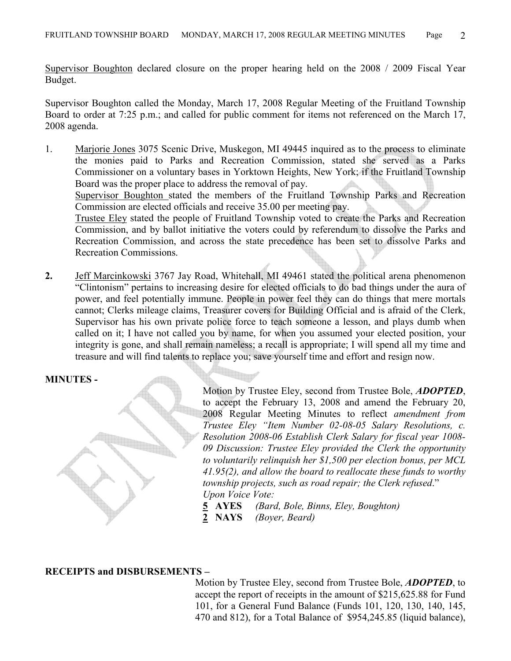Supervisor Boughton declared closure on the proper hearing held on the 2008 / 2009 Fiscal Year Budget.

Supervisor Boughton called the Monday, March 17, 2008 Regular Meeting of the Fruitland Township Board to order at 7:25 p.m.; and called for public comment for items not referenced on the March 17, 2008 agenda.

1. Marjorie Jones 3075 Scenic Drive, Muskegon, MI 49445 inquired as to the process to eliminate the monies paid to Parks and Recreation Commission, stated she served as a Parks Commissioner on a voluntary bases in Yorktown Heights, New York; if the Fruitland Township Board was the proper place to address the removal of pay.

 Supervisor Boughton stated the members of the Fruitland Township Parks and Recreation Commission are elected officials and receive 35.00 per meeting pay.

 Trustee Eley stated the people of Fruitland Township voted to create the Parks and Recreation Commission, and by ballot initiative the voters could by referendum to dissolve the Parks and Recreation Commission, and across the state precedence has been set to dissolve Parks and Recreation Commissions.

2. Jeff Marcinkowski 3767 Jay Road, Whitehall, MI 49461 stated the political arena phenomenon "Clintonism" pertains to increasing desire for elected officials to do bad things under the aura of power, and feel potentially immune. People in power feel they can do things that mere mortals cannot; Clerks mileage claims, Treasurer covers for Building Official and is afraid of the Clerk, Supervisor has his own private police force to teach someone a lesson, and plays dumb when called on it; I have not called you by name, for when you assumed your elected position, your integrity is gone, and shall remain nameless; a recall is appropriate; I will spend all my time and treasure and will find talents to replace you; save yourself time and effort and resign now.

### MINUTES -

Motion by Trustee Eley, second from Trustee Bole, **ADOPTED**, to accept the February 13, 2008 and amend the February 20, 2008 Regular Meeting Minutes to reflect amendment from Trustee Eley "Item Number 02-08-05 Salary Resolutions, c. Resolution 2008-06 Establish Clerk Salary for fiscal year 1008- 09 Discussion: Trustee Eley provided the Clerk the opportunity to voluntarily relinquish her \$1,500 per election bonus, per MCL 41.95(2), and allow the board to reallocate these funds to worthy township projects, such as road repair; the Clerk refused." Upon Voice Vote:

- 5 AYES (Bard, Bole, Binns, Eley, Boughton)
- 2 NAYS (Boyer, Beard)

### RECEIPTS and DISBURSEMENTS –

Motion by Trustee Eley, second from Trustee Bole, **ADOPTED**, to accept the report of receipts in the amount of \$215,625.88 for Fund 101, for a General Fund Balance (Funds 101, 120, 130, 140, 145, 470 and 812), for a Total Balance of \$954,245.85 (liquid balance),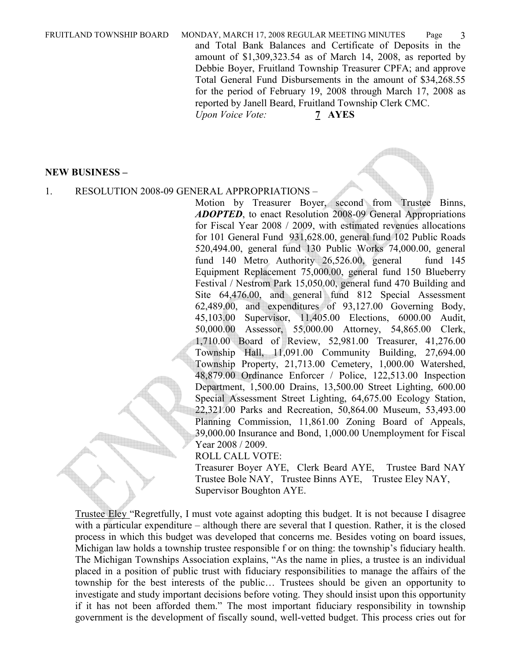FRUITLAND TOWNSHIP BOARD MONDAY, MARCH 17, 2008 REGULAR MEETING MINUTES Page 3 and Total Bank Balances and Certificate of Deposits in the amount of \$1,309,323.54 as of March 14, 2008, as reported by Debbie Boyer, Fruitland Township Treasurer CPFA; and approve Total General Fund Disbursements in the amount of \$34,268.55 for the period of February 19, 2008 through March 17, 2008 as reported by Janell Beard, Fruitland Township Clerk CMC. Upon Voice Vote: 7 AYES

NEW BUSINESS –

#### 1. RESOLUTION 2008-09 GENERAL APPROPRIATIONS –

Motion by Treasurer Boyer, second from Trustee Binns, ADOPTED, to enact Resolution 2008-09 General Appropriations for Fiscal Year 2008 / 2009, with estimated revenues allocations for 101 General Fund 931,628.00, general fund 102 Public Roads 520,494.00, general fund 130 Public Works 74,000.00, general fund 140 Metro Authority 26,526.00, general fund 145 Equipment Replacement 75,000.00, general fund 150 Blueberry Festival / Nestrom Park 15,050.00, general fund 470 Building and Site 64,476.00, and general fund 812 Special Assessment 62,489.00, and expenditures of 93,127.00 Governing Body, 45,103.00 Supervisor, 11,405.00 Elections, 6000.00 Audit, 50,000.00 Assessor, 55,000.00 Attorney, 54,865.00 Clerk, 1,710.00 Board of Review, 52,981.00 Treasurer, 41,276.00 Township Hall, 11,091.00 Community Building, 27,694.00 Township Property, 21,713.00 Cemetery, 1,000.00 Watershed, 48,879.00 Ordinance Enforcer / Police, 122,513.00 Inspection Department, 1,500.00 Drains, 13,500.00 Street Lighting, 600.00 Special Assessment Street Lighting, 64,675.00 Ecology Station, 22,321.00 Parks and Recreation, 50,864.00 Museum, 53,493.00 Planning Commission, 11,861.00 Zoning Board of Appeals, 39,000.00 Insurance and Bond, 1,000.00 Unemployment for Fiscal Year 2008 / 2009.

ROLL CALL VOTE:

Treasurer Boyer AYE, Clerk Beard AYE, Trustee Bard NAY Trustee Bole NAY, Trustee Binns AYE, Trustee Eley NAY, Supervisor Boughton AYE.

Trustee Eley "Regretfully, I must vote against adopting this budget. It is not because I disagree with a particular expenditure – although there are several that I question. Rather, it is the closed process in which this budget was developed that concerns me. Besides voting on board issues, Michigan law holds a township trustee responsible f or on thing: the township's fiduciary health. The Michigan Townships Association explains, "As the name in plies, a trustee is an individual placed in a position of public trust with fiduciary responsibilities to manage the affairs of the township for the best interests of the public… Trustees should be given an opportunity to investigate and study important decisions before voting. They should insist upon this opportunity if it has not been afforded them." The most important fiduciary responsibility in township government is the development of fiscally sound, well-vetted budget. This process cries out for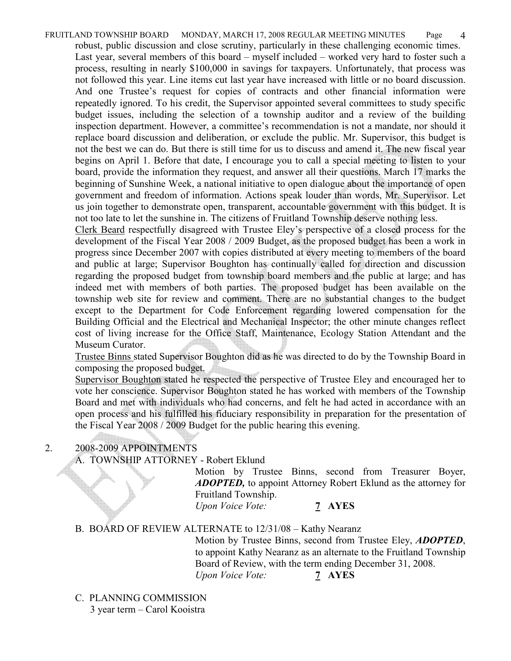FRUITLAND TOWNSHIP BOARD MONDAY, MARCH 17, 2008 REGULAR MEETING MINUTES Page 4 robust, public discussion and close scrutiny, particularly in these challenging economic times. Last year, several members of this board – myself included – worked very hard to foster such a process, resulting in nearly \$100,000 in savings for taxpayers. Unfortunately, that process was not followed this year. Line items cut last year have increased with little or no board discussion. And one Trustee's request for copies of contracts and other financial information were repeatedly ignored. To his credit, the Supervisor appointed several committees to study specific budget issues, including the selection of a township auditor and a review of the building inspection department. However, a committee's recommendation is not a mandate, nor should it replace board discussion and deliberation, or exclude the public. Mr. Supervisor, this budget is not the best we can do. But there is still time for us to discuss and amend it. The new fiscal year begins on April 1. Before that date, I encourage you to call a special meeting to listen to your board, provide the information they request, and answer all their questions. March 17 marks the beginning of Sunshine Week, a national initiative to open dialogue about the importance of open government and freedom of information. Actions speak louder than words, Mr. Supervisor. Let us join together to demonstrate open, transparent, accountable government with this budget. It is not too late to let the sunshine in. The citizens of Fruitland Township deserve nothing less.

Clerk Beard respectfully disagreed with Trustee Eley's perspective of a closed process for the development of the Fiscal Year 2008 / 2009 Budget, as the proposed budget has been a work in progress since December 2007 with copies distributed at every meeting to members of the board and public at large; Supervisor Boughton has continually called for direction and discussion regarding the proposed budget from township board members and the public at large; and has indeed met with members of both parties. The proposed budget has been available on the township web site for review and comment. There are no substantial changes to the budget except to the Department for Code Enforcement regarding lowered compensation for the Building Official and the Electrical and Mechanical Inspector; the other minute changes reflect cost of living increase for the Office Staff, Maintenance, Ecology Station Attendant and the Museum Curator.

Trustee Binns stated Supervisor Boughton did as he was directed to do by the Township Board in composing the proposed budget.

Supervisor Boughton stated he respected the perspective of Trustee Eley and encouraged her to vote her conscience. Supervisor Boughton stated he has worked with members of the Township Board and met with individuals who had concerns, and felt he had acted in accordance with an open process and his fulfilled his fiduciary responsibility in preparation for the presentation of the Fiscal Year 2008 / 2009 Budget for the public hearing this evening.

# 2. 2008-2009 APPOINTMENTS

## A. TOWNSHIP ATTORNEY - Robert Eklund

Motion by Trustee Binns, second from Treasurer Boyer, ADOPTED, to appoint Attorney Robert Eklund as the attorney for Fruitland Township.

Upon Voice Vote: 7 AYES

## B. BOARD OF REVIEW ALTERNATE to 12/31/08 – Kathy Nearanz

Motion by Trustee Binns, second from Trustee Eley, **ADOPTED**, to appoint Kathy Nearanz as an alternate to the Fruitland Township Board of Review, with the term ending December 31, 2008. Upon Voice Vote: 7 AYES

C. PLANNING COMMISSION

3 year term – Carol Kooistra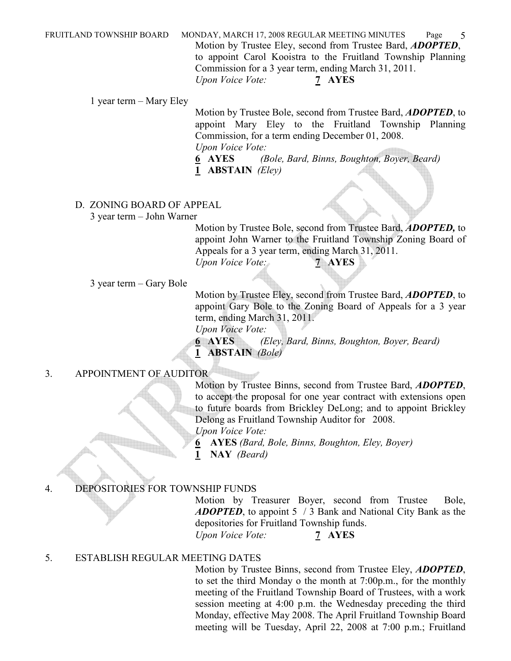FRUITLAND TOWNSHIP BOARD MONDAY, MARCH 17, 2008 REGULAR MEETING MINUTES Page 5 Motion by Trustee Eley, second from Trustee Bard, *ADOPTED*, to appoint Carol Kooistra to the Fruitland Township Planning Commission for a 3 year term, ending March 31, 2011. Upon Voice Vote: 7 AYES

1 year term – Mary Eley

Motion by Trustee Bole, second from Trustee Bard, *ADOPTED*, to appoint Mary Eley to the Fruitland Township Planning Commission, for a term ending December 01, 2008. Upon Voice Vote:

6 AYES (Bole, Bard, Binns, Boughton, Boyer, Beard) 1 ABSTAIN (Eley)

## D. ZONING BOARD OF APPEAL

3 year term – John Warner

Motion by Trustee Bole, second from Trustee Bard, **ADOPTED**, to appoint John Warner to the Fruitland Township Zoning Board of Appeals for a 3 year term, ending March 31, 2011. Upon Voice Vote: 7 AYES

3 year term – Gary Bole

Motion by Trustee Eley, second from Trustee Bard, ADOPTED, to appoint Gary Bole to the Zoning Board of Appeals for a 3 year term, ending March 31, 2011.

Upon Voice Vote:

6 AYES (Eley, Bard, Binns, Boughton, Boyer, Beard) 1 **ABSTAIN** (Bole)

## 3. APPOINTMENT OF AUDITOR

Motion by Trustee Binns, second from Trustee Bard, **ADOPTED**, to accept the proposal for one year contract with extensions open to future boards from Brickley DeLong; and to appoint Brickley Delong as Fruitland Township Auditor for 2008.

Upon Voice Vote:

6 AYES (Bard, Bole, Binns, Boughton, Eley, Boyer)

1 NAY (Beard)

## 4. DEPOSITORIES FOR TOWNSHIP FUNDS

Motion by Treasurer Boyer, second from Trustee Bole, ADOPTED, to appoint 5 / 3 Bank and National City Bank as the depositories for Fruitland Township funds.

Upon Voice Vote: 7 AYES

## 5. ESTABLISH REGULAR MEETING DATES

Motion by Trustee Binns, second from Trustee Eley, **ADOPTED**, to set the third Monday o the month at 7:00p.m., for the monthly meeting of the Fruitland Township Board of Trustees, with a work session meeting at 4:00 p.m. the Wednesday preceding the third Monday, effective May 2008. The April Fruitland Township Board meeting will be Tuesday, April 22, 2008 at 7:00 p.m.; Fruitland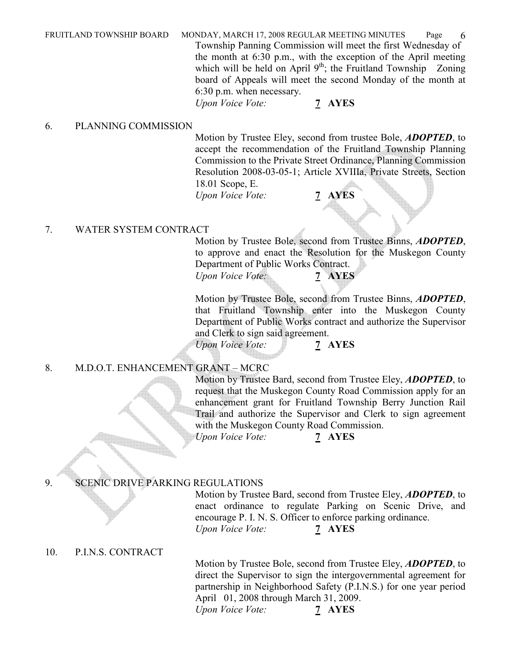FRUITLAND TOWNSHIP BOARD MONDAY, MARCH 17, 2008 REGULAR MEETING MINUTES Page 6 Township Panning Commission will meet the first Wednesday of the month at 6:30 p.m., with the exception of the April meeting which will be held on April  $9<sup>th</sup>$ ; the Fruitland Township Zoning board of Appeals will meet the second Monday of the month at 6:30 p.m. when necessary. Upon Voice Vote: 7 AYES

### 6. PLANNING COMMISSION

Motion by Trustee Eley, second from trustee Bole, **ADOPTED**, to accept the recommendation of the Fruitland Township Planning Commission to the Private Street Ordinance, Planning Commission Resolution 2008-03-05-1; Article XVIIIa, Private Streets, Section 18.01 Scope, E.

Upon Voice Vote: 7 AYES

### 7. WATER SYSTEM CONTRACT

Motion by Trustee Bole, second from Trustee Binns, ADOPTED, to approve and enact the Resolution for the Muskegon County Department of Public Works Contract.

Upon Voice Vote: 7 **AYES** 

Motion by Trustee Bole, second from Trustee Binns, ADOPTED, that Fruitland Township enter into the Muskegon County Department of Public Works contract and authorize the Supervisor and Clerk to sign said agreement.

Upon Voice Vote: 7 AYES

### 8. M.D.O.T. ENHANCEMENT GRANT – MCRC

Motion by Trustee Bard, second from Trustee Eley, **ADOPTED**, to request that the Muskegon County Road Commission apply for an enhancement grant for Fruitland Township Berry Junction Rail Trail and authorize the Supervisor and Clerk to sign agreement with the Muskegon County Road Commission.  $\bar{U}$ pon Voice Vote: 7 AYES

## 9. SCENIC DRIVE PARKING REGULATIONS

Motion by Trustee Bard, second from Trustee Eley, **ADOPTED**, to enact ordinance to regulate Parking on Scenic Drive, and encourage P. I. N. S. Officer to enforce parking ordinance. Upon Voice Vote: 7 AYES

## 10. P.I.N.S. CONTRACT

Motion by Trustee Bole, second from Trustee Eley, **ADOPTED**, to direct the Supervisor to sign the intergovernmental agreement for partnership in Neighborhood Safety (P.I.N.S.) for one year period April 01, 2008 through March 31, 2009. Upon Voice Vote: 7 AYES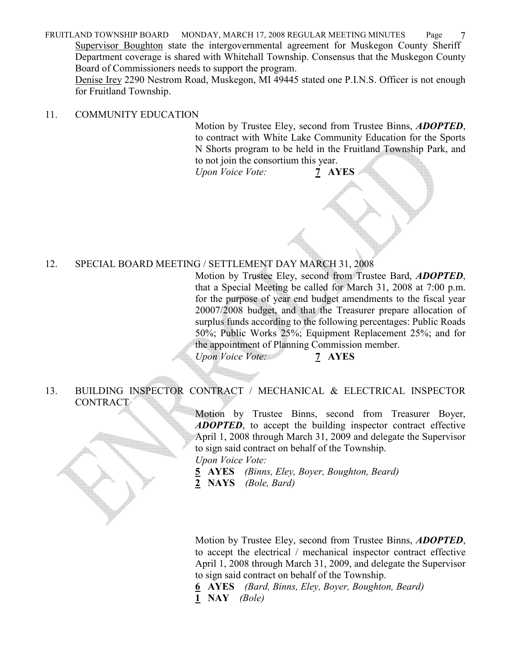FRUITLAND TOWNSHIP BOARD MONDAY, MARCH 17, 2008 REGULAR MEETING MINUTES Page 7 Supervisor Boughton state the intergovernmental agreement for Muskegon County Sheriff Department coverage is shared with Whitehall Township. Consensus that the Muskegon County Board of Commissioners needs to support the program.

 Denise Irey 2290 Nestrom Road, Muskegon, MI 49445 stated one P.I.N.S. Officer is not enough for Fruitland Township.

### 11. COMMUNITY EDUCATION

Motion by Trustee Eley, second from Trustee Binns, **ADOPTED**, to contract with White Lake Community Education for the Sports N Shorts program to be held in the Fruitland Township Park, and to not join the consortium this year.

Upon Voice Vote: 7 AYES

## 12. SPECIAL BOARD MEETING / SETTLEMENT DAY MARCH 31, 2008

Motion by Trustee Eley, second from Trustee Bard, **ADOPTED**, that a Special Meeting be called for March 31, 2008 at 7:00 p.m. for the purpose of year end budget amendments to the fiscal year 20007/2008 budget, and that the Treasurer prepare allocation of surplus funds according to the following percentages: Public Roads 50%; Public Works 25%; Equipment Replacement 25%; and for the appointment of Planning Commission member.

Upon Voice Vote: 7 AYES

### 13. BUILDING INSPECTOR CONTRACT / MECHANICAL & ELECTRICAL INSPECTOR CONTRACT

Motion by Trustee Binns, second from Treasurer Boyer, ADOPTED, to accept the building inspector contract effective April 1, 2008 through March 31, 2009 and delegate the Supervisor to sign said contract on behalf of the Township.

Upon Voice Vote:

- 5 AYES (Binns, Eley, Boyer, Boughton, Beard)
- 2 NAYS (Bole, Bard)

Motion by Trustee Eley, second from Trustee Binns, **ADOPTED**, to accept the electrical / mechanical inspector contract effective April 1, 2008 through March 31, 2009, and delegate the Supervisor to sign said contract on behalf of the Township.

6 AYES (Bard, Binns, Eley, Boyer, Boughton, Beard)

1 NAY (Bole)